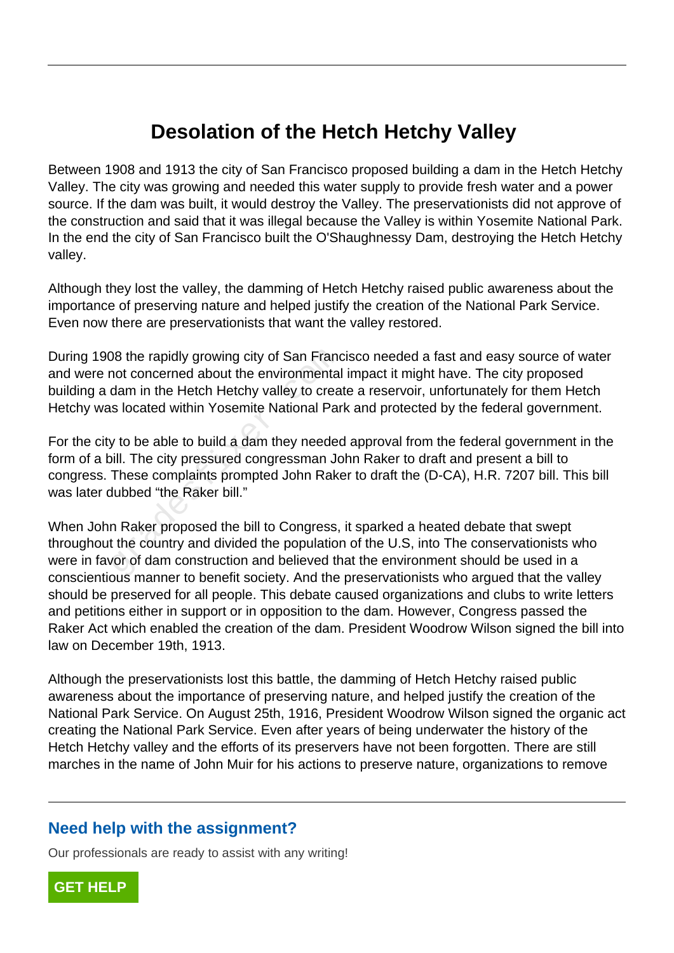## **Desolation of the Hetch Hetchy Valley**

Between 1908 and 1913 the city of San Francisco proposed building a dam in the Hetch Hetchy Valley. The city was growing and needed this water supply to provide fresh water and a power source. If the dam was built, it would destroy the Valley. The preservationists did not approve of the construction and said that it was illegal because the Valley is within Yosemite National Park. In the end the city of San Francisco built the O'Shaughnessy Dam, destroying the Hetch Hetchy valley.

Although they lost the valley, the damming of Hetch Hetchy raised public awareness about the importance of preserving nature and helped justify the creation of the National Park Service. Even now there are preservationists that want the valley restored.

During 1908 the rapidly growing city of San Francisco needed a fast and easy source of water and were not concerned about the environmental impact it might have. The city proposed building a dam in the Hetch Hetchy valley to create a reservoir, unfortunately for them Hetch Hetchy was located within Yosemite National Park and protected by the federal government.

For the city to be able to build a dam they needed approval from the federal government in the form of a bill. The city pressured congressman John Raker to draft and present a bill to congress. These complaints prompted John Raker to draft the (D-CA), H.R. 7207 bill. This bill was later dubbed "the Raker bill." The rapidly growing city of San Francot concerned about the environmentated am in the Hetch Hetchy valley to creas slocated within Yosemite National Party to be able to build a dam they needed will. The city pressured cong

When John Raker proposed the bill to Congress, it sparked a heated debate that swept throughout the country and divided the population of the U.S, into The conservationists who were in favor of dam construction and believed that the environment should be used in a conscientious manner to benefit society. And the preservationists who argued that the valley should be preserved for all people. This debate caused organizations and clubs to write letters and petitions either in support or in opposition to the dam. However, Congress passed the Raker Act which enabled the creation of the dam. President Woodrow Wilson signed the bill into law on December 19th, 1913.

Although the preservationists lost this battle, the damming of Hetch Hetchy raised public awareness about the importance of preserving nature, and helped justify the creation of the National Park Service. On August 25th, 1916, President Woodrow Wilson signed the organic act creating the National Park Service. Even after years of being underwater the history of the Hetch Hetchy valley and the efforts of its preservers have not been forgotten. There are still marches in the name of John Muir for his actions to preserve nature, organizations to remove

## **Need help with the assignment?**

Our professionals are ready to assist with any writing!